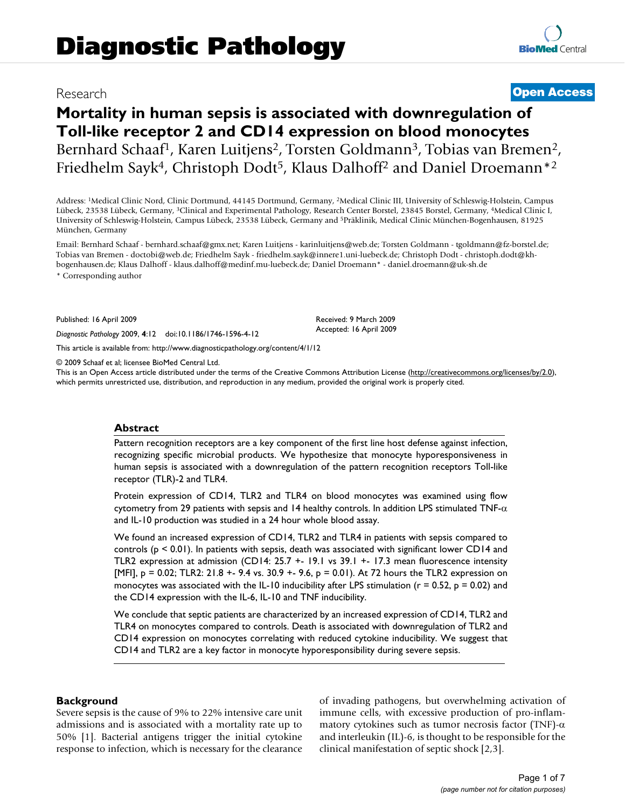# Research **[Open Access](http://www.biomedcentral.com/info/about/charter/)**

# **Mortality in human sepsis is associated with downregulation of Toll-like receptor 2 and CD14 expression on blood monocytes** Bernhard Schaaf<sup>1</sup>, Karen Luitjens<sup>2</sup>, Torsten Goldmann<sup>3</sup>, Tobias van Bremen<sup>2</sup>, Friedhelm Sayk<sup>4</sup>, Christoph Dodt<sup>5</sup>, Klaus Dalhoff<sup>2</sup> and Daniel Droemann<sup>\*2</sup>

Address: 1Medical Clinic Nord, Clinic Dortmund, 44145 Dortmund, Germany, 2Medical Clinic III, University of Schleswig-Holstein, Campus Lübeck, 23538 Lübeck, Germany, 3Clinical and Experimental Pathology, Research Center Borstel, 23845 Borstel, Germany, 4Medical Clinic I, University of Schleswig-Holstein, Campus Lübeck, 23538 Lübeck, Germany and 5Präklinik, Medical Clinic München-Bogenhausen, 81925 München, Germany

Email: Bernhard Schaaf - bernhard.schaaf@gmx.net; Karen Luitjens - karinluitjens@web.de; Torsten Goldmann - tgoldmann@fz-borstel.de; Tobias van Bremen - doctobi@web.de; Friedhelm Sayk - friedhelm.sayk@innere1.uni-luebeck.de; Christoph Dodt - christoph.dodt@khbogenhausen.de; Klaus Dalhoff - klaus.dalhoff@medinf.mu-luebeck.de; Daniel Droemann\* - daniel.droemann@uk-sh.de

\* Corresponding author

Published: 16 April 2009

*Diagnostic Pathology* 2009, **4**:12 doi:10.1186/1746-1596-4-12

[This article is available from: http://www.diagnosticpathology.org/content/4/1/12](http://www.diagnosticpathology.org/content/4/1/12)

© 2009 Schaaf et al; licensee BioMed Central Ltd.

This is an Open Access article distributed under the terms of the Creative Commons Attribution License [\(http://creativecommons.org/licenses/by/2.0\)](http://creativecommons.org/licenses/by/2.0), which permits unrestricted use, distribution, and reproduction in any medium, provided the original work is properly cited.

Received: 9 March 2009 Accepted: 16 April 2009

#### **Abstract**

Pattern recognition receptors are a key component of the first line host defense against infection, recognizing specific microbial products. We hypothesize that monocyte hyporesponsiveness in human sepsis is associated with a downregulation of the pattern recognition receptors Toll-like receptor (TLR)-2 and TLR4.

Protein expression of CD14, TLR2 and TLR4 on blood monocytes was examined using flow cytometry from 29 patients with sepsis and 14 healthy controls. In addition LPS stimulated  $TNF-\alpha$ and IL-10 production was studied in a 24 hour whole blood assay.

We found an increased expression of CD14, TLR2 and TLR4 in patients with sepsis compared to controls ( $p \le 0.01$ ). In patients with sepsis, death was associated with significant lower CD14 and TLR2 expression at admission (CD14: 25.7 +- 19.1 vs 39.1 +- 17.3 mean fluorescence intensity [MFI],  $p = 0.02$ ; TLR2: 21.8 +- 9.4 vs. 30.9 +- 9.6,  $p = 0.01$ ). At 72 hours the TLR2 expression on monocytes was associated with the IL-10 inducibility after LPS stimulation ( $r = 0.52$ ,  $p = 0.02$ ) and the CD14 expression with the IL-6, IL-10 and TNF inducibility.

We conclude that septic patients are characterized by an increased expression of CD14, TLR2 and TLR4 on monocytes compared to controls. Death is associated with downregulation of TLR2 and CD14 expression on monocytes correlating with reduced cytokine inducibility. We suggest that CD14 and TLR2 are a key factor in monocyte hyporesponsibility during severe sepsis.

#### **Background**

Severe sepsis is the cause of 9% to 22% intensive care unit admissions and is associated with a mortality rate up to 50% [1]. Bacterial antigens trigger the initial cytokine response to infection, which is necessary for the clearance of invading pathogens, but overwhelming activation of immune cells, with excessive production of pro-inflammatory cytokines such as tumor necrosis factor (TNF)- $\alpha$ and interleukin (IL)-6, is thought to be responsible for the clinical manifestation of septic shock [2,3].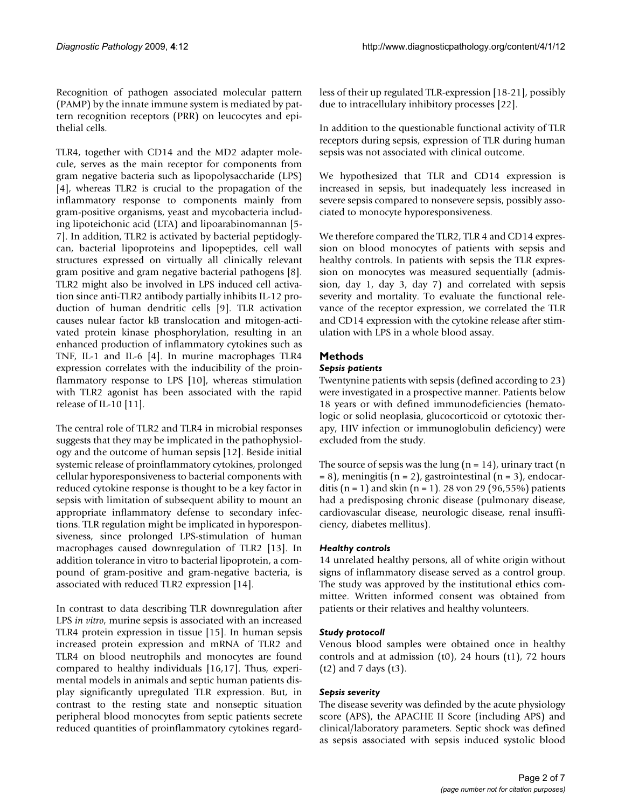Recognition of pathogen associated molecular pattern (PAMP) by the innate immune system is mediated by pattern recognition receptors (PRR) on leucocytes and epithelial cells.

TLR4, together with CD14 and the MD2 adapter molecule, serves as the main receptor for components from gram negative bacteria such as lipopolysaccharide (LPS) [4], whereas TLR2 is crucial to the propagation of the inflammatory response to components mainly from gram-positive organisms, yeast and mycobacteria including lipoteichonic acid (LTA) and lipoarabinomannan [5- 7]. In addition, TLR2 is activated by bacterial peptidoglycan, bacterial lipoproteins and lipopeptides, cell wall structures expressed on virtually all clinically relevant gram positive and gram negative bacterial pathogens [8]. TLR2 might also be involved in LPS induced cell activation since anti-TLR2 antibody partially inhibits IL-12 production of human dendritic cells [9]. TLR activation causes nulear factor kB translocation and mitogen-activated protein kinase phosphorylation, resulting in an enhanced production of inflammatory cytokines such as TNF, IL-1 and IL-6 [4]. In murine macrophages TLR4 expression correlates with the inducibility of the proinflammatory response to LPS [10], whereas stimulation with TLR2 agonist has been associated with the rapid release of IL-10 [11].

The central role of TLR2 and TLR4 in microbial responses suggests that they may be implicated in the pathophysiology and the outcome of human sepsis [12]. Beside initial systemic release of proinflammatory cytokines, prolonged cellular hyporesponsiveness to bacterial components with reduced cytokine response is thought to be a key factor in sepsis with limitation of subsequent ability to mount an appropriate inflammatory defense to secondary infections. TLR regulation might be implicated in hyporesponsiveness, since prolonged LPS-stimulation of human macrophages caused downregulation of TLR2 [13]. In addition tolerance in vitro to bacterial lipoprotein, a compound of gram-positive and gram-negative bacteria, is associated with reduced TLR2 expression [14].

In contrast to data describing TLR downregulation after LPS *in vitro*, murine sepsis is associated with an increased TLR4 protein expression in tissue [15]. In human sepsis increased protein expression and mRNA of TLR2 and TLR4 on blood neutrophils and monocytes are found compared to healthy individuals [16,17]. Thus, experimental models in animals and septic human patients display significantly upregulated TLR expression. But, in contrast to the resting state and nonseptic situation peripheral blood monocytes from septic patients secrete reduced quantities of proinflammatory cytokines regardless of their up regulated TLR-expression [18-21], possibly due to intracellulary inhibitory processes [22].

In addition to the questionable functional activity of TLR receptors during sepsis, expression of TLR during human sepsis was not associated with clinical outcome.

We hypothesized that TLR and CD14 expression is increased in sepsis, but inadequately less increased in severe sepsis compared to nonsevere sepsis, possibly associated to monocyte hyporesponsiveness.

We therefore compared the TLR2, TLR 4 and CD14 expression on blood monocytes of patients with sepsis and healthy controls. In patients with sepsis the TLR expression on monocytes was measured sequentially (admission, day 1, day 3, day 7) and correlated with sepsis severity and mortality. To evaluate the functional relevance of the receptor expression, we correlated the TLR and CD14 expression with the cytokine release after stimulation with LPS in a whole blood assay.

## **Methods**

#### *Sepsis patients*

Twentynine patients with sepsis (defined according to 23) were investigated in a prospective manner. Patients below 18 years or with defined immunodeficiencies (hematologic or solid neoplasia, glucocorticoid or cytotoxic therapy, HIV infection or immunoglobulin deficiency) were excluded from the study.

The source of sepsis was the lung  $(n = 14)$ , urinary tract  $(n = 14)$  $= 8$ ), meningitis (n = 2), gastrointestinal (n = 3), endocarditis (n = 1) and skin (n = 1). 28 von 29 (96,55%) patients had a predisposing chronic disease (pulmonary disease, cardiovascular disease, neurologic disease, renal insufficiency, diabetes mellitus).

#### *Healthy controls*

14 unrelated healthy persons, all of white origin without signs of inflammatory disease served as a control group. The study was approved by the institutional ethics committee. Written informed consent was obtained from patients or their relatives and healthy volunteers.

#### *Study protocoll*

Venous blood samples were obtained once in healthy controls and at admission (t0), 24 hours (t1), 72 hours (t2) and 7 days (t3).

### *Sepsis severity*

The disease severity was definded by the acute physiology score (APS), the APACHE II Score (including APS) and clinical/laboratory parameters. Septic shock was defined as sepsis associated with sepsis induced systolic blood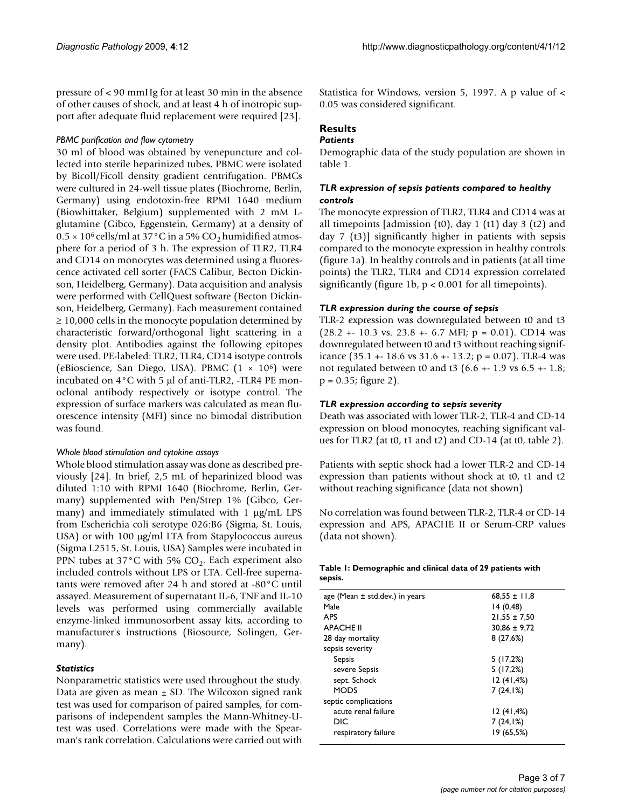pressure of < 90 mmHg for at least 30 min in the absence of other causes of shock, and at least 4 h of inotropic support after adequate fluid replacement were required [23].

#### *PBMC purification and flow cytometry*

30 ml of blood was obtained by venepuncture and collected into sterile heparinized tubes, PBMC were isolated by Bicoll/Ficoll density gradient centrifugation. PBMCs were cultured in 24-well tissue plates (Biochrome, Berlin, Germany) using endotoxin-free RPMI 1640 medium (Biowhittaker, Belgium) supplemented with 2 mM Lglutamine (Gibco, Eggenstein, Germany) at a density of  $0.5 \times 10^6$  cells/ml at 37°C in a 5% CO<sub>2</sub> humidified atmosphere for a period of 3 h. The expression of TLR2, TLR4 and CD14 on monocytes was determined using a fluorescence activated cell sorter (FACS Calibur, Becton Dickinson, Heidelberg, Germany). Data acquisition and analysis were performed with CellQuest software (Becton Dickinson, Heidelberg, Germany). Each measurement contained ≥ 10,000 cells in the monocyte population determined by characteristic forward/orthogonal light scattering in a density plot. Antibodies against the following epitopes were used. PE-labeled: TLR2, TLR4, CD14 isotype controls (eBioscience, San Diego, USA). PBMC  $(1 \times 10^6)$  were incubated on 4°C with 5 μl of anti-TLR2, -TLR4 PE monoclonal antibody respectively or isotype control. The expression of surface markers was calculated as mean fluorescence intensity (MFI) since no bimodal distribution was found.

#### *Whole blood stimulation and cytokine assays*

Whole blood stimulation assay was done as described previously [24]. In brief, 2,5 mL of heparinized blood was diluted 1:10 with RPMI 1640 (Biochrome, Berlin, Germany) supplemented with Pen/Strep 1% (Gibco, Germany) and immediately stimulated with 1 μg/mL LPS from Escherichia coli serotype 026:B6 (Sigma, St. Louis, USA) or with 100 μg/ml LTA from Stapylococcus aureus (Sigma L2515, St. Louis, USA) Samples were incubated in PPN tubes at 37°C with 5%  $CO<sub>2</sub>$ . Each experiment also included controls without LPS or LTA. Cell-free supernatants were removed after 24 h and stored at -80°C until assayed. Measurement of supernatant IL-6, TNF and IL-10 levels was performed using commercially available enzyme-linked immunosorbent assay kits, according to manufacturer's instructions (Biosource, Solingen, Germany).

#### *Statistics*

Nonparametric statistics were used throughout the study. Data are given as mean  $\pm$  SD. The Wilcoxon signed rank test was used for comparison of paired samples, for comparisons of independent samples the Mann-Whitney-Utest was used. Correlations were made with the Spearman's rank correlation. Calculations were carried out with Statistica for Windows, version 5, 1997. A p value of < 0.05 was considered significant.

#### **Results**

#### *Patients*

Demographic data of the study population are shown in table 1.

#### *TLR expression of sepsis patients compared to healthy controls*

The monocyte expression of TLR2, TLR4 and CD14 was at all timepoints [admission  $(t0)$ , day 1  $(t1)$  day 3  $(t2)$  and day 7 (t3)] significantly higher in patients with sepsis compared to the monocyte expression in healthy controls (figure 1a). In healthy controls and in patients (at all time points) the TLR2, TLR4 and CD14 expression correlated significantly (figure 1b,  $p < 0.001$  for all timepoints).

#### *TLR expression during the course of sepsis*

TLR-2 expression was downregulated between t0 and t3  $(28.2 + 10.3$  vs.  $23.8 + 6.7$  MFI;  $p = 0.01$ ). CD14 was downregulated between t0 and t3 without reaching significance  $(35.1 + 18.6 \text{ vs } 31.6 + 13.2; \text{ p} = 0.07)$ . TLR-4 was not regulated between t0 and t3 (6.6 +- 1.9 vs 6.5 +- 1.8; p = 0.35; figure 2).

#### *TLR expression according to sepsis severity*

Death was associated with lower TLR-2, TLR-4 and CD-14 expression on blood monocytes, reaching significant values for TLR2 (at t0, t1 and t2) and CD-14 (at t0, table 2).

Patients with septic shock had a lower TLR-2 and CD-14 expression than patients without shock at t0, t1 and t2 without reaching significance (data not shown)

No correlation was found between TLR-2, TLR-4 or CD-14 expression and APS, APACHE II or Serum-CRP values (data not shown).

#### **Table 1: Demographic and clinical data of 29 patients with sepsis.**

| age (Mean $\pm$ std.dev.) in years | $68.55 \pm 11.8$ |
|------------------------------------|------------------|
| Male                               | 14(0,48)         |
| <b>APS</b>                         | $21.55 \pm 7.50$ |
| <b>APACHE II</b>                   | $30,86 \pm 9,72$ |
| 28 day mortality                   | 8(27,6%)         |
| sepsis severity                    |                  |
| Sepsis                             | 5(17,2%)         |
| severe Sepsis                      | 5(17,2%)         |
| sept. Schock                       | 12(41, 4%)       |
| <b>MODS</b>                        | 7(24,1%)         |
| septic complications               |                  |
| acute renal failure                | 12(41,4%)        |
| DIC                                | 7(24,1%)         |
| respiratory failure                | 19 (65,5%)       |
|                                    |                  |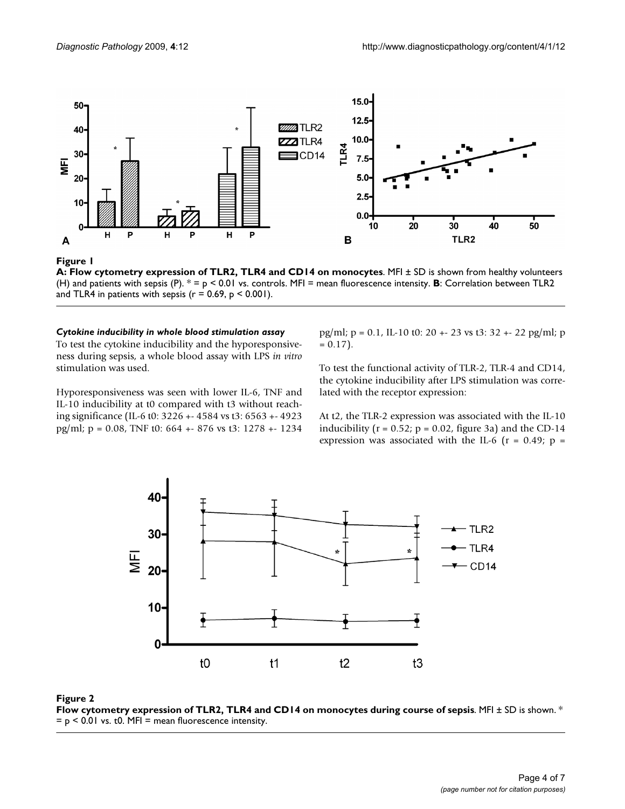

#### A: Flow cytometry expr **Figure 1** ession of TLR2, TLR4 and CD14 on monocytes

**A: Flow cytometry expression of TLR2, TLR4 and CD14 on monocytes**. MFI ± SD is shown from healthy volunteers (H) and patients with sepsis (P). \* = p < 0.01 vs. controls. MFI = mean fluorescence intensity. **B**: Correlation between TLR2 and TLR4 in patients with sepsis ( $r = 0.69$ ,  $p \le 0.001$ ).

#### *Cytokine inducibility in whole blood stimulation assay*

To test the cytokine inducibility and the hyporesponsiveness during sepsis, a whole blood assay with LPS *in vitro* stimulation was used.

Hyporesponsiveness was seen with lower IL-6, TNF and IL-10 inducibility at t0 compared with t3 without reaching significance (IL-6 t0: 3226 +- 4584 vs t3: 6563 +- 4923 pg/ml; p = 0.08, TNF t0: 664 +- 876 vs t3: 1278 +- 1234 pg/ml;  $p = 0.1$ , IL-10 t0: 20 + - 23 vs t3: 32 + - 22 pg/ml; p  $= 0.17$ .

To test the functional activity of TLR-2, TLR-4 and CD14, the cytokine inducibility after LPS stimulation was correlated with the receptor expression:

At t2, the TLR-2 expression was associated with the IL-10 inducibility ( $r = 0.52$ ;  $p = 0.02$ , figure 3a) and the CD-14 expression was associated with the IL-6 ( $r = 0.49$ ;  $p =$ 



#### Flow cytometry expression of **Figure 2** TLR2, TLR4 and CD14 on monocytes during course of sepsis **Flow cytometry expression of TLR2, TLR4 and CD14 on monocytes during course of sepsis**. MFI ± SD is shown. \*  $= p < 0.01$  vs. t0. MFI = mean fluorescence intensity.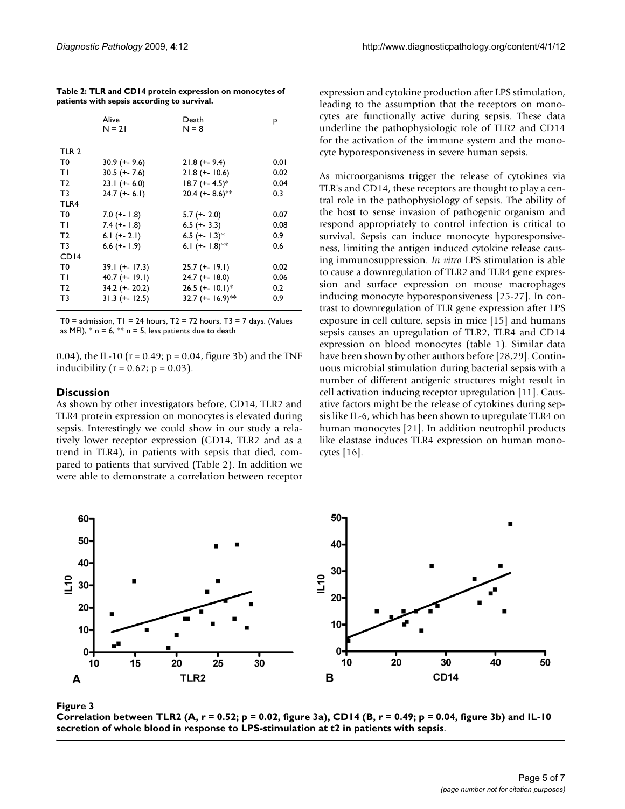|                                             |  | Table 2: TLR and CD14 protein expression on monocytes of |
|---------------------------------------------|--|----------------------------------------------------------|
| patients with sepsis according to survival. |  |                                                          |

|                | Alive<br>$N = 21$ | Death<br>$N = 8$           | p    |
|----------------|-------------------|----------------------------|------|
| TLR 2          |                   |                            |      |
| T0             | $30.9 (+ - 9.6)$  | $21.8 (+ - 9.4)$           | 0.01 |
| ΤI             | $30.5 (+ - 7.6)$  | $21.8 (+ - 10.6)$          | 0.02 |
| T <sub>2</sub> | $23.1 (+6.0)$     | $18.7 (+ 4.5)^*$           | 0.04 |
| T3             | $24.7 (+-6.1)$    | 20.4 (+- $8.6$ )**         | 0.3  |
| TLR4           |                   |                            |      |
| T0             | $7.0 (+-1.8)$     | $5.7 (+ - 2.0)$            | 0.07 |
| ΤI             | $7.4 (+ - 1.8)$   | $6.5 (+ - 3.3)$            | 0.08 |
| T2             | 6.1 $(+ - 2.1)$   | 6.5 $(+$ 1.3) <sup>*</sup> | 0.9  |
| T3             | $6.6$ (+- 1.9)    | 6.1 $(+ - 1.8)$ **         | 0.6  |
| CDI4           |                   |                            |      |
| T0             | $39.1 (+ - 17.3)$ | $25.7 (+ - 19.1)$          | 0.02 |
| ΤI             | $40.7 (+ - 19.1)$ | $24.7$ (+- 18.0)           | 0.06 |
| T <sub>2</sub> | $34.2 (+ - 20.2)$ | $26.5 (+ - 10.1)^*$        | 0.2  |
| T3             | $31.3 (+ - 12.5)$ | 32.7 (+- 16.9)**           | 0.9  |
|                |                   |                            |      |

T0 = admission,  $T1 = 24$  hours,  $T2 = 72$  hours,  $T3 = 7$  days. (Values as MFI),  $*$  n = 6,  $**$  n = 5, less patients due to death

0.04), the IL-10 ( $r = 0.49$ ;  $p = 0.04$ , figure 3b) and the TNF inducibility ( $r = 0.62$ ;  $p = 0.03$ ).

#### **Discussion**

As shown by other investigators before, CD14, TLR2 and TLR4 protein expression on monocytes is elevated during sepsis. Interestingly we could show in our study a relatively lower receptor expression (CD14, TLR2 and as a trend in TLR4), in patients with sepsis that died, compared to patients that survived (Table 2). In addition we were able to demonstrate a correlation between receptor expression and cytokine production after LPS stimulation, leading to the assumption that the receptors on monocytes are functionally active during sepsis. These data underline the pathophysiologic role of TLR2 and CD14 for the activation of the immune system and the monocyte hyporesponsiveness in severe human sepsis.

As microorganisms trigger the release of cytokines via TLR's and CD14, these receptors are thought to play a central role in the pathophysiology of sepsis. The ability of the host to sense invasion of pathogenic organism and respond appropriately to control infection is critical to survival. Sepsis can induce monocyte hyporesponsiveness, limiting the antigen induced cytokine release causing immunosuppression. *In vitro* LPS stimulation is able to cause a downregulation of TLR2 and TLR4 gene expression and surface expression on mouse macrophages inducing monocyte hyporesponsiveness [25-27]. In contrast to downregulation of TLR gene expression after LPS exposure in cell culture, sepsis in mice [15] and humans sepsis causes an upregulation of TLR2, TLR4 and CD14 expression on blood monocytes (table 1). Similar data have been shown by other authors before [28,29]. Continuous microbial stimulation during bacterial sepsis with a number of different antigenic structures might result in cell activation inducing receptor upregulation [11]. Causative factors might be the release of cytokines during sepsis like IL-6, which has been shown to upregulate TLR4 on human monocytes [21]. In addition neutrophil products like elastase induces TLR4 expression on human monocytes [16].



Correlation between TLR2 (A, r = 0.52; p = whole blood in response to LPS-stimul **Figure 3** ation at t2 in patients with sepsis 0.02, figure 3a), CD14 (B, r = 0.49; p = 0.04, figure 3b) and IL-10 secretion of **Correlation between TLR2 (A, r = 0.52; p = 0.02, figure 3a), CD14 (B, r = 0.49; p = 0.04, figure 3b) and IL-10 secretion of whole blood in response to LPS-stimulation at t2 in patients with sepsis**.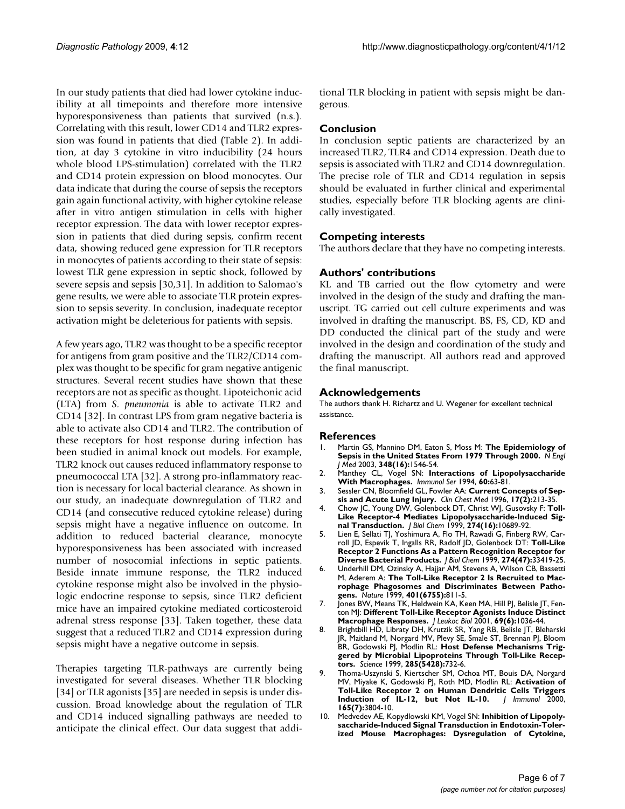In our study patients that died had lower cytokine inducibility at all timepoints and therefore more intensive hyporesponsiveness than patients that survived (n.s.). Correlating with this result, lower CD14 and TLR2 expression was found in patients that died (Table 2). In addition, at day 3 cytokine in vitro inducibility (24 hours whole blood LPS-stimulation) correlated with the TLR2 and CD14 protein expression on blood monocytes. Our data indicate that during the course of sepsis the receptors gain again functional activity, with higher cytokine release after in vitro antigen stimulation in cells with higher receptor expression. The data with lower receptor expression in patients that died during sepsis, confirm recent data, showing reduced gene expression for TLR receptors in monocytes of patients according to their state of sepsis: lowest TLR gene expression in septic shock, followed by severe sepsis and sepsis [30,31]. In addition to Salomao's gene results, we were able to associate TLR protein expression to sepsis severity. In conclusion, inadequate receptor activation might be deleterious for patients with sepsis.

A few years ago, TLR2 was thought to be a specific receptor for antigens from gram positive and the TLR2/CD14 complex was thought to be specific for gram negative antigenic structures. Several recent studies have shown that these receptors are not as specific as thought. Lipoteichonic acid (LTA) from *S. pneumonia* is able to activate TLR2 and CD14 [32]. In contrast LPS from gram negative bacteria is able to activate also CD14 and TLR2. The contribution of these receptors for host response during infection has been studied in animal knock out models. For example, TLR2 knock out causes reduced inflammatory response to pneumococcal LTA [32]. A strong pro-inflammatory reaction is necessary for local bacterial clearance. As shown in our study, an inadequate downregulation of TLR2 and CD14 (and consecutive reduced cytokine release) during sepsis might have a negative influence on outcome. In addition to reduced bacterial clearance, monocyte hyporesponsiveness has been associated with increased number of nosocomial infections in septic patients. Beside innate immune response, the TLR2 induced cytokine response might also be involved in the physiologic endocrine response to sepsis, since TLR2 deficient mice have an impaired cytokine mediated corticosteroid adrenal stress response [33]. Taken together, these data suggest that a reduced TLR2 and CD14 expression during sepsis might have a negative outcome in sepsis.

Therapies targeting TLR-pathways are currently being investigated for several diseases. Whether TLR blocking [34] or TLR agonists [35] are needed in sepsis is under discussion. Broad knowledge about the regulation of TLR and CD14 induced signalling pathways are needed to anticipate the clinical effect. Our data suggest that additional TLR blocking in patient with sepsis might be dangerous.

#### **Conclusion**

In conclusion septic patients are characterized by an increased TLR2, TLR4 and CD14 expression. Death due to sepsis is associated with TLR2 and CD14 downregulation. The precise role of TLR and CD14 regulation in sepsis should be evaluated in further clinical and experimental studies, especially before TLR blocking agents are clinically investigated.

#### **Competing interests**

The authors declare that they have no competing interests.

#### **Authors' contributions**

KL and TB carried out the flow cytometry and were involved in the design of the study and drafting the manuscript. TG carried out cell culture experiments and was involved in drafting the manuscript. BS, FS, CD, KD and DD conducted the clinical part of the study and were involved in the design and coordination of the study and drafting the manuscript. All authors read and approved the final manuscript.

#### **Acknowledgements**

The authors thank H. Richartz and U. Wegener for excellent technical assistance.

#### **References**

- 1. Martin GS, Mannino DM, Eaton S, Moss M: **[The Epidemiology of](http://www.ncbi.nlm.nih.gov/entrez/query.fcgi?cmd=Retrieve&db=PubMed&dopt=Abstract&list_uids=12700374) [Sepsis in the United States From 1979 Through 2000.](http://www.ncbi.nlm.nih.gov/entrez/query.fcgi?cmd=Retrieve&db=PubMed&dopt=Abstract&list_uids=12700374)** *N Engl J Med* 2003, **348(16):**1546-54.
- 2. Manthey CL, Vogel SN: **[Interactions of Lipopolysaccharide](http://www.ncbi.nlm.nih.gov/entrez/query.fcgi?cmd=Retrieve&db=PubMed&dopt=Abstract&list_uids=7504530) [With Macrophages.](http://www.ncbi.nlm.nih.gov/entrez/query.fcgi?cmd=Retrieve&db=PubMed&dopt=Abstract&list_uids=7504530)** *Immunol Ser* 1994, **60:**63-81.
- 3. Sessler CN, Bloomfield GL, Fowler AA: **[Current Concepts of Sep](http://www.ncbi.nlm.nih.gov/entrez/query.fcgi?cmd=Retrieve&db=PubMed&dopt=Abstract&list_uids=8792062)[sis and Acute Lung Injury.](http://www.ncbi.nlm.nih.gov/entrez/query.fcgi?cmd=Retrieve&db=PubMed&dopt=Abstract&list_uids=8792062)** *Clin Chest Med* 1996, **17(2):**213-35.
- 4. Chow JC, Young DW, Golenbock DT, Christ WJ, Gusovsky F: **[Toll-](http://www.ncbi.nlm.nih.gov/entrez/query.fcgi?cmd=Retrieve&db=PubMed&dopt=Abstract&list_uids=10196138)[Like Receptor-4 Mediates Lipopolysaccharide-Induced Sig](http://www.ncbi.nlm.nih.gov/entrez/query.fcgi?cmd=Retrieve&db=PubMed&dopt=Abstract&list_uids=10196138)[nal Transduction.](http://www.ncbi.nlm.nih.gov/entrez/query.fcgi?cmd=Retrieve&db=PubMed&dopt=Abstract&list_uids=10196138)** *J Biol Chem* 1999, **274(16):**10689-92.
- 5. Lien E, Sellati TJ, Yoshimura A, Flo TH, Rawadi G, Finberg RW, Carroll JD, Espevik T, Ingalls RR, Radolf JD, Golenbock DT: **[Toll-Like](http://www.ncbi.nlm.nih.gov/entrez/query.fcgi?cmd=Retrieve&db=PubMed&dopt=Abstract&list_uids=10559223) [Receptor 2 Functions As a Pattern Recognition Receptor for](http://www.ncbi.nlm.nih.gov/entrez/query.fcgi?cmd=Retrieve&db=PubMed&dopt=Abstract&list_uids=10559223) [Diverse Bacterial Products.](http://www.ncbi.nlm.nih.gov/entrez/query.fcgi?cmd=Retrieve&db=PubMed&dopt=Abstract&list_uids=10559223)** *J Biol Chem* 1999, **274(47):**33419-25.
- 6. Underhill DM, Ozinsky A, Hajjar AM, Stevens A, Wilson CB, Bassetti M, Aderem A: **[The Toll-Like Receptor 2 Is Recruited to Mac](http://www.ncbi.nlm.nih.gov/entrez/query.fcgi?cmd=Retrieve&db=PubMed&dopt=Abstract&list_uids=10548109)[rophage Phagosomes and Discriminates Between Patho](http://www.ncbi.nlm.nih.gov/entrez/query.fcgi?cmd=Retrieve&db=PubMed&dopt=Abstract&list_uids=10548109)[gens.](http://www.ncbi.nlm.nih.gov/entrez/query.fcgi?cmd=Retrieve&db=PubMed&dopt=Abstract&list_uids=10548109)** *Nature* 1999, **401(6755):**811-5.
- 7. Jones BW, Means TK, Heldwein KA, Keen MA, Hill PJ, Belisle JT, Fenton MJ: **[Different Toll-Like Receptor Agonists Induce Distinct](http://www.ncbi.nlm.nih.gov/entrez/query.fcgi?cmd=Retrieve&db=PubMed&dopt=Abstract&list_uids=11404392) [Macrophage Responses.](http://www.ncbi.nlm.nih.gov/entrez/query.fcgi?cmd=Retrieve&db=PubMed&dopt=Abstract&list_uids=11404392)** *J Leukoc Biol* 2001, **69(6):**1036-44.
- 8. Brightbill HD, Libraty DH, Krutzik SR, Yang RB, Belisle JT, Bleharski JR, Maitland M, Norgard MV, Plevy SE, Smale ST, Brennan PJ, Bloom BR, Godowski PJ, Modlin RL: **[Host Defense Mechanisms Trig](http://www.ncbi.nlm.nih.gov/entrez/query.fcgi?cmd=Retrieve&db=PubMed&dopt=Abstract&list_uids=10426995)[gered by Microbial Lipoproteins Through Toll-Like Recep](http://www.ncbi.nlm.nih.gov/entrez/query.fcgi?cmd=Retrieve&db=PubMed&dopt=Abstract&list_uids=10426995)[tors.](http://www.ncbi.nlm.nih.gov/entrez/query.fcgi?cmd=Retrieve&db=PubMed&dopt=Abstract&list_uids=10426995)** *Science* 1999, **285(5428):**732-6.
- 9. Thoma-Uszynski S, Kiertscher SM, Ochoa MT, Bouis DA, Norgard MV, Miyake K, Godowski PJ, Roth MD, Modlin RL: **[Activation of](http://www.ncbi.nlm.nih.gov/entrez/query.fcgi?cmd=Retrieve&db=PubMed&dopt=Abstract&list_uids=11034386) [Toll-Like Receptor 2 on Human Dendritic Cells Triggers](http://www.ncbi.nlm.nih.gov/entrez/query.fcgi?cmd=Retrieve&db=PubMed&dopt=Abstract&list_uids=11034386) [Induction of IL-12, but Not IL-10.](http://www.ncbi.nlm.nih.gov/entrez/query.fcgi?cmd=Retrieve&db=PubMed&dopt=Abstract&list_uids=11034386)** *J Immunol* 2000, **165(7):**3804-10.
- 10. Medvedev AE, Kopydlowski KM, Vogel SN: **[Inhibition of Lipopoly](http://www.ncbi.nlm.nih.gov/entrez/query.fcgi?cmd=Retrieve&db=PubMed&dopt=Abstract&list_uids=10820230)[saccharide-Induced Signal Transduction in Endotoxin-Toler](http://www.ncbi.nlm.nih.gov/entrez/query.fcgi?cmd=Retrieve&db=PubMed&dopt=Abstract&list_uids=10820230)[ized Mouse Macrophages: Dysregulation of Cytokine,](http://www.ncbi.nlm.nih.gov/entrez/query.fcgi?cmd=Retrieve&db=PubMed&dopt=Abstract&list_uids=10820230)**